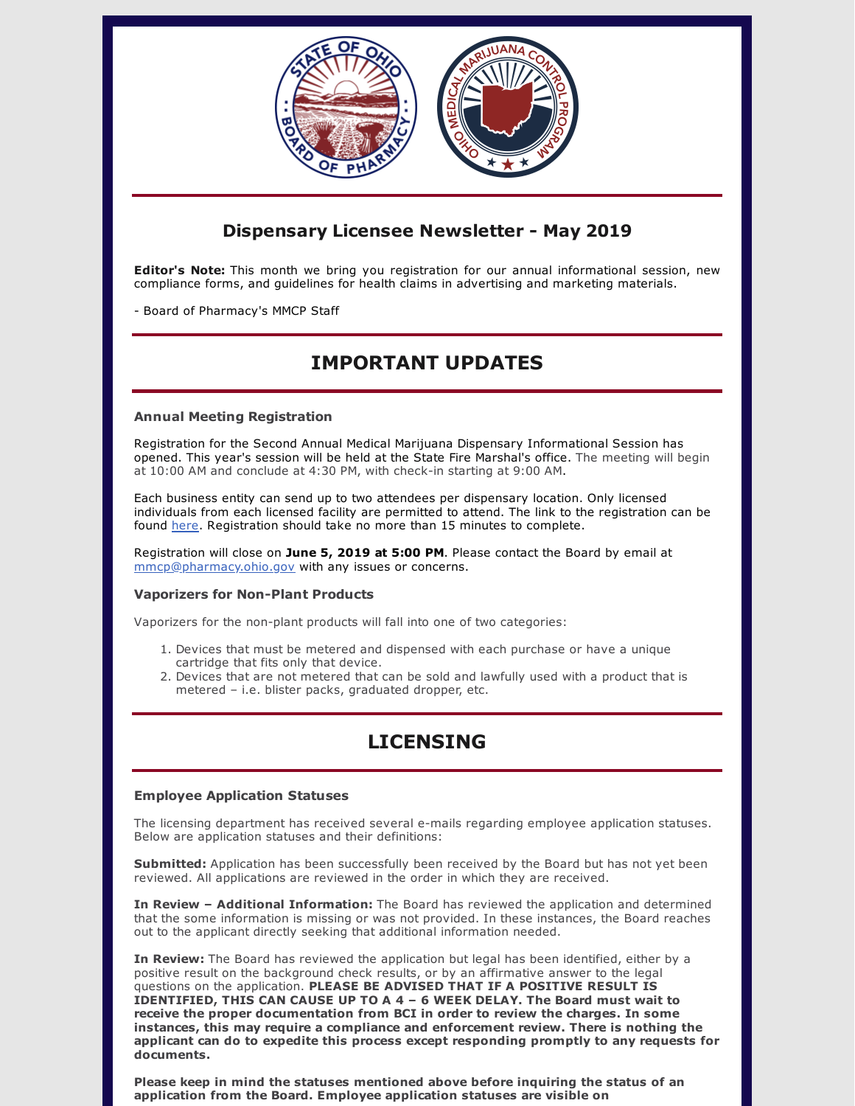

## **Dispensary Licensee Newsletter - May 2019**

**Editor's Note:** This month we bring you registration for our annual informational session, new compliance forms, and guidelines for health claims in advertising and marketing materials.

- Board of Pharmacy's MMCP Staff

# **IMPORTANT UPDATES**

### **Annual Meeting Registration**

Registration for the Second Annual Medical Marijuana Dispensary Informational Session has opened. This year's session will be held at the State Fire Marshal's office. The meeting will begin at 10:00 AM and conclude at 4:30 PM, with check-in starting at 9:00 AM.

Each business entity can send up to two attendees per dispensary location. Only licensed individuals from each licensed facility are permitted to attend. The link to the registration can be found [here](https://www.eventbrite.com/e/second-annual-medical-marijuana-dispensary-informational-session-registration-60543307663). Registration should take no more than 15 minutes to complete.

Registration will close on **June 5, 2019 at 5:00 PM**. Please contact the Board by email at [mmcp@pharmacy.ohio.gov](mailto:mmcp@pharmacy.ohio.gov) with any issues or concerns.

### **Vaporizers for Non-Plant Products**

Vaporizers for the non-plant products will fall into one of two categories:

- 1. Devices that must be metered and dispensed with each purchase or have a unique cartridge that fits only that device.
- 2. Devices that are not metered that can be sold and lawfully used with a product that is metered – i.e. blister packs, graduated dropper, etc.

# **LICENSING**

### **Employee Application Statuses**

The licensing department has received several e-mails regarding employee application statuses. Below are application statuses and their definitions:

**Submitted:** Application has been successfully been received by the Board but has not yet been reviewed. All applications are reviewed in the order in which they are received.

**In Review – Additional Information:** The Board has reviewed the application and determined that the some information is missing or was not provided. In these instances, the Board reaches out to the applicant directly seeking that additional information needed.

**In Review:** The Board has reviewed the application but legal has been identified, either by a positive result on the background check results, or by an affirmative answer to the legal questions on the application. **PLEASE BE ADVISED THAT IF A POSITIVE RESULT IS IDENTIFIED, THIS CAN CAUSE UP TO A 4 – 6 WEEK DELAY. The Board must wait to receive the proper documentation from BCI in order to review the charges. In some instances, this may require a compliance and enforcement review. There is nothing the applicant can do to expedite this process except responding promptly to any requests for documents.**

**Please keep in mind the statuses mentioned above before inquiring the status of an application from the Board. Employee application statuses are visible on**